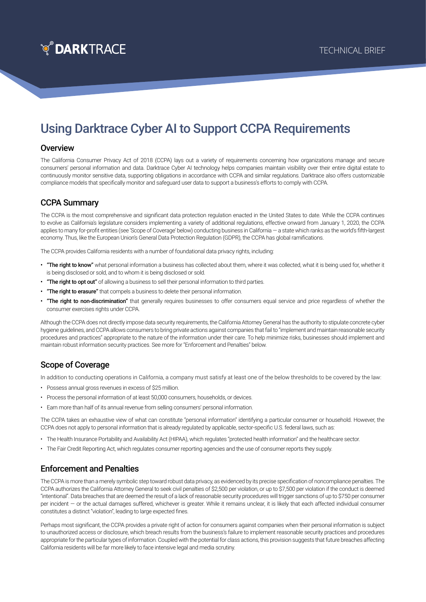

# Using Darktrace Cyber AI to Support CCPA Requirements

#### **Overview**

The California Consumer Privacy Act of 2018 (CCPA) lays out a variety of requirements concerning how organizations manage and secure consumers' personal information and data. Darktrace Cyber AI technology helps companies maintain visibility over their entire digital estate to continuously monitor sensitive data, supporting obligations in accordance with CCPA and similar regulations. Darktrace also offers customizable compliance models that specifically monitor and safeguard user data to support a business's efforts to comply with CCPA.

### CCPA Summary

The CCPA is the most comprehensive and significant data protection regulation enacted in the United States to date. While the CCPA continues to evolve as California's legislature considers implementing a variety of additional regulations, effective onward from January 1, 2020, the CCPA applies to many for-profit entities (see 'Scope of Coverage' below) conducting business in California — a state which ranks as the world's fifth-largest economy. Thus, like the European Union's General Data Protection Regulation (GDPR), the CCPA has global ramifications.

The CCPA provides California residents with a number of foundational data privacy rights, including:

- "The right to know" what personal information a business has collected about them, where it was collected, what it is being used for, whether it is being disclosed or sold, and to whom it is being disclosed or sold.
- "The right to opt out" of allowing a business to sell their personal information to third parties.
- "The right to erasure" that compels a business to delete their personal information.
- "The right to non-discrimination" that generally requires businesses to offer consumers equal service and price regardless of whether the consumer exercises rights under CCPA.

Although the CCPA does not directly impose data security requirements, the California Attorney General has the authority to stipulate concrete cyber hygiene guidelines, and CCPA allows consumers to bring private actions against companies that fail to "implement and maintain reasonable security procedures and practices" appropriate to the nature of the information under their care. To help minimize risks, businesses should implement and maintain robust information security practices. See more for "Enforcement and Penalties" below.

#### Scope of Coverage

In addition to conducting operations in California, a company must satisfy at least one of the below thresholds to be covered by the law:

- Possess annual gross revenues in excess of \$25 million.
- Process the personal information of at least 50,000 consumers, households, or devices.
- Earn more than half of its annual revenue from selling consumers' personal information.

The CCPA takes an exhaustive view of what can constitute "personal information" identifying a particular consumer or household. However, the CCPA does not apply to personal information that is already regulated by applicable, sector-specific U.S. federal laws, such as:

- The Health Insurance Portability and Availability Act (HIPAA), which regulates "protected health information" and the healthcare sector.
- The Fair Credit Reporting Act, which regulates consumer reporting agencies and the use of consumer reports they supply.

#### Enforcement and Penalties

The CCPA is more than a merely symbolic step toward robust data privacy, as evidenced by its precise specification of noncompliance penalties. The CCPA authorizes the California Attorney General to seek civil penalties of \$2,500 per violation, or up to \$7,500 per violation if the conduct is deemed "intentional". Data breaches that are deemed the result of a lack of reasonable security procedures will trigger sanctions of up to \$750 per consumer per incident — or the actual damages suffered, whichever is greater. While it remains unclear, it is likely that each affected individual consumer constitutes a distinct "violation", leading to large expected fines.

Perhaps most significant, the CCPA provides a private right of action for consumers against companies when their personal information is subject to unauthorized access or disclosure, which breach results from the business's failure to implement reasonable security practices and procedures appropriate for the particular types of information. Coupled with the potential for class actions, this provision suggests that future breaches affecting California residents will be far more likely to face intensive legal and media scrutiny.